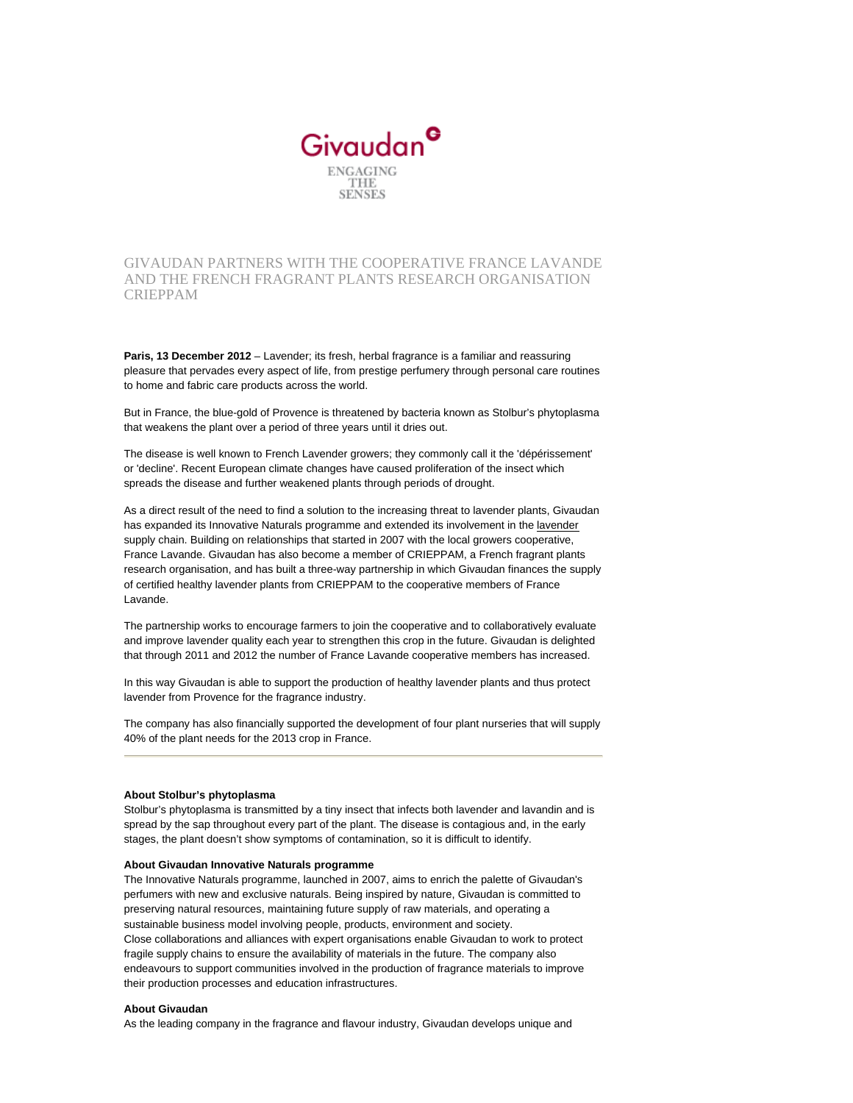

GIVAUDAN PARTNERS WITH THE COOPERATIVE FRANCE LAVANDE AND THE FRENCH FRAGRANT PLANTS RESEARCH ORGANISATION CRIEPPAM

**Paris, 13 December 2012** – Lavender; its fresh, herbal fragrance is a familiar and reassuring pleasure that pervades every aspect of life, from prestige perfumery through personal care routines to home and fabric care products across the world.

But in France, the blue-gold of Provence is threatened by bacteria known as Stolbur's phytoplasma that weakens the plant over a period of three years until it dries out.

The disease is well known to French Lavender growers; they commonly call it the 'dépérissement' or 'decline'. Recent European climate changes have caused proliferation of the insect which spreads the disease and further weakened plants through periods of drought.

As a direct result of the need to find a solution to the increasing threat to lavender plants, Givaudan has expanded its Innovative Naturals programme and extended its involvement in the [lavender](about:/vgn-ext-templating/v/index.jsp?vgnextoid=9a42fbe50011b310VgnVCM1000004a53410aRCRD) supply chain. Building on relationships that started in 2007 with the local growers cooperative, France Lavande. Givaudan has also become a member of CRIEPPAM, a French fragrant plants research organisation, and has built a three-way partnership in which Givaudan finances the supply of certified healthy lavender plants from CRIEPPAM to the cooperative members of France Lavande.

The partnership works to encourage farmers to join the cooperative and to collaboratively evaluate and improve lavender quality each year to strengthen this crop in the future. Givaudan is delighted that through 2011 and 2012 the number of France Lavande cooperative members has increased.

In this way Givaudan is able to support the production of healthy lavender plants and thus protect lavender from Provence for the fragrance industry.

The company has also financially supported the development of four plant nurseries that will supply 40% of the plant needs for the 2013 crop in France.

## **About Stolbur's phytoplasma**

Stolbur's phytoplasma is transmitted by a tiny insect that infects both lavender and lavandin and is spread by the sap throughout every part of the plant. The disease is contagious and, in the early stages, the plant doesn't show symptoms of contamination, so it is difficult to identify.

## **About Givaudan Innovative Naturals programme**

The Innovative Naturals programme, launched in 2007, aims to enrich the palette of Givaudan's perfumers with new and exclusive naturals. Being inspired by nature, Givaudan is committed to preserving natural resources, maintaining future supply of raw materials, and operating a sustainable business model involving people, products, environment and society. Close collaborations and alliances with expert organisations enable Givaudan to work to protect fragile supply chains to ensure the availability of materials in the future. The company also endeavours to support communities involved in the production of fragrance materials to improve their production processes and education infrastructures.

## **About Givaudan**

As the leading company in the fragrance and flavour industry, Givaudan develops unique and